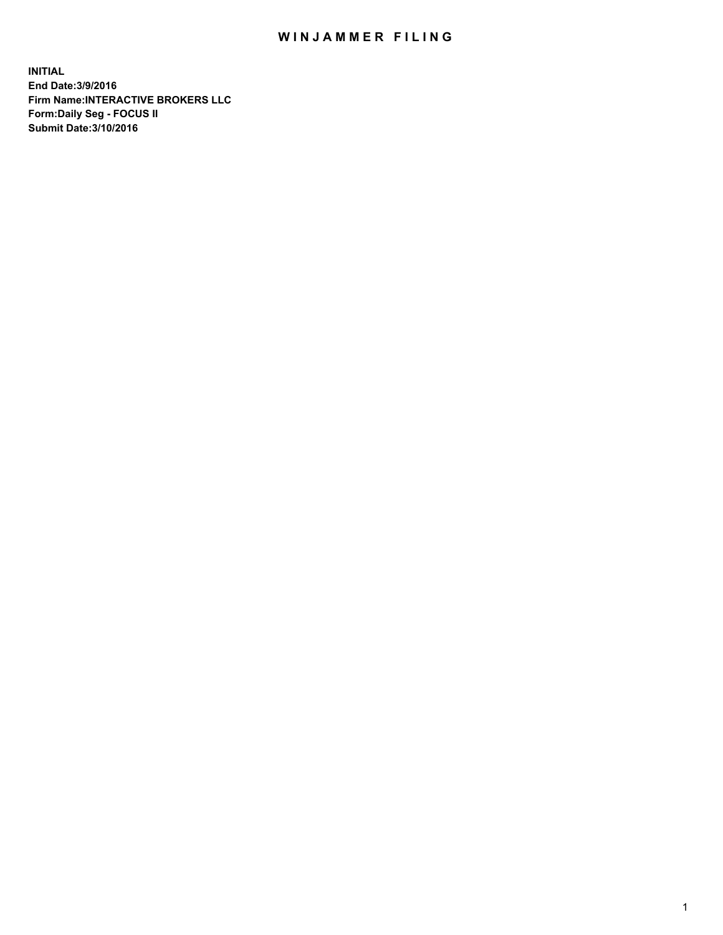## WIN JAMMER FILING

**INITIAL End Date:3/9/2016 Firm Name:INTERACTIVE BROKERS LLC Form:Daily Seg - FOCUS II Submit Date:3/10/2016**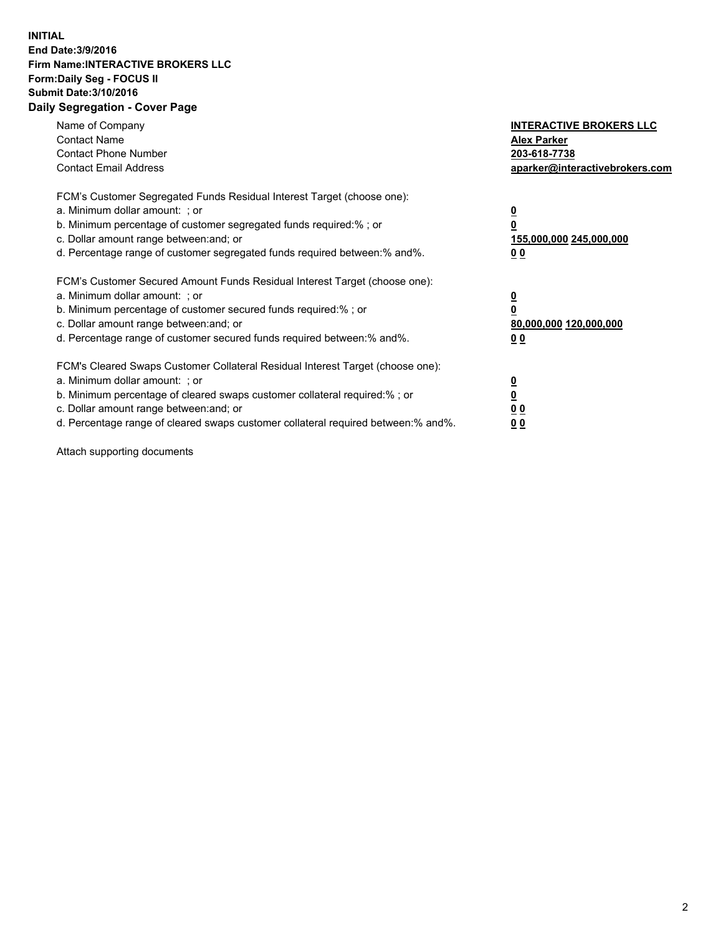## **INITIAL End Date:3/9/2016 Firm Name:INTERACTIVE BROKERS LLC Form:Daily Seg - FOCUS II Submit Date:3/10/2016 Daily Segregation - Cover Page**

| Name of Company<br><b>Contact Name</b><br><b>Contact Phone Number</b><br><b>Contact Email Address</b>                                                                                                                                                                                                                         | <b>INTERACTIVE BROKERS LLC</b><br><b>Alex Parker</b><br>203-618-7738<br>aparker@interactivebrokers.com |
|-------------------------------------------------------------------------------------------------------------------------------------------------------------------------------------------------------------------------------------------------------------------------------------------------------------------------------|--------------------------------------------------------------------------------------------------------|
| FCM's Customer Segregated Funds Residual Interest Target (choose one):<br>a. Minimum dollar amount: ; or<br>b. Minimum percentage of customer segregated funds required:% ; or<br>c. Dollar amount range between: and; or<br>d. Percentage range of customer segregated funds required between:% and%.                        | <u>0</u><br>155,000,000 245,000,000<br>00                                                              |
| FCM's Customer Secured Amount Funds Residual Interest Target (choose one):<br>a. Minimum dollar amount: ; or<br>b. Minimum percentage of customer secured funds required:%; or<br>c. Dollar amount range between: and; or<br>d. Percentage range of customer secured funds required between:% and%.                           | <u>0</u><br>80,000,000 120,000,000<br>00                                                               |
| FCM's Cleared Swaps Customer Collateral Residual Interest Target (choose one):<br>a. Minimum dollar amount: ; or<br>b. Minimum percentage of cleared swaps customer collateral required:%; or<br>c. Dollar amount range between: and; or<br>d. Percentage range of cleared swaps customer collateral required between:% and%. | <u>0</u><br>0 <sub>0</sub><br><u>00</u>                                                                |

Attach supporting documents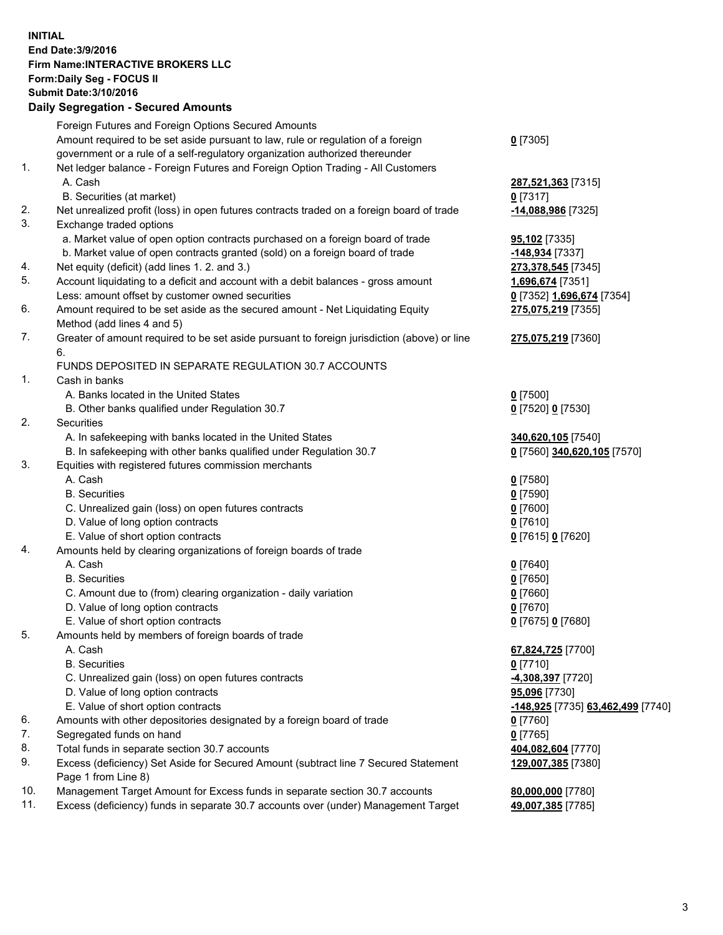## **INITIAL End Date:3/9/2016 Firm Name:INTERACTIVE BROKERS LLC Form:Daily Seg - FOCUS II Submit Date:3/10/2016 Daily Segregation - Secured Amounts**

|     | Foreign Futures and Foreign Options Secured Amounts                                         |                                   |
|-----|---------------------------------------------------------------------------------------------|-----------------------------------|
|     | Amount required to be set aside pursuant to law, rule or regulation of a foreign            | $Q$ [7305]                        |
|     | government or a rule of a self-regulatory organization authorized thereunder                |                                   |
| 1.  | Net ledger balance - Foreign Futures and Foreign Option Trading - All Customers             |                                   |
|     | A. Cash                                                                                     | 287,521,363 [7315]                |
|     | B. Securities (at market)                                                                   | $0$ [7317]                        |
| 2.  | Net unrealized profit (loss) in open futures contracts traded on a foreign board of trade   | -14,088,986 [7325]                |
| 3.  | Exchange traded options                                                                     |                                   |
|     | a. Market value of open option contracts purchased on a foreign board of trade              | 95,102 [7335]                     |
|     | b. Market value of open contracts granted (sold) on a foreign board of trade                | -148,934 [7337]                   |
| 4.  | Net equity (deficit) (add lines 1. 2. and 3.)                                               | 273,378,545 [7345]                |
| 5.  | Account liquidating to a deficit and account with a debit balances - gross amount           | 1,696,674 [7351]                  |
|     | Less: amount offset by customer owned securities                                            | 0 [7352] 1,696,674 [7354]         |
| 6.  | Amount required to be set aside as the secured amount - Net Liquidating Equity              | 275,075,219 [7355]                |
|     | Method (add lines 4 and 5)                                                                  |                                   |
| 7.  | Greater of amount required to be set aside pursuant to foreign jurisdiction (above) or line | 275,075,219 [7360]                |
|     | 6.                                                                                          |                                   |
|     | FUNDS DEPOSITED IN SEPARATE REGULATION 30.7 ACCOUNTS                                        |                                   |
| 1.  | Cash in banks                                                                               |                                   |
|     | A. Banks located in the United States                                                       | $0$ [7500]                        |
|     | B. Other banks qualified under Regulation 30.7                                              | 0 [7520] 0 [7530]                 |
| 2.  | Securities                                                                                  |                                   |
|     | A. In safekeeping with banks located in the United States                                   |                                   |
|     |                                                                                             | 340,620,105 [7540]                |
| 3.  | B. In safekeeping with other banks qualified under Regulation 30.7                          | 0 [7560] 340,620,105 [7570]       |
|     | Equities with registered futures commission merchants<br>A. Cash                            |                                   |
|     |                                                                                             | $0$ [7580]                        |
|     | <b>B.</b> Securities                                                                        | $0$ [7590]                        |
|     | C. Unrealized gain (loss) on open futures contracts                                         | $0$ [7600]                        |
|     | D. Value of long option contracts                                                           | $0$ [7610]                        |
|     | E. Value of short option contracts                                                          | 0 [7615] 0 [7620]                 |
| 4.  | Amounts held by clearing organizations of foreign boards of trade                           |                                   |
|     | A. Cash                                                                                     | $0$ [7640]                        |
|     | <b>B.</b> Securities                                                                        | $0$ [7650]                        |
|     | C. Amount due to (from) clearing organization - daily variation                             | $0$ [7660]                        |
|     | D. Value of long option contracts                                                           | $0$ [7670]                        |
|     | E. Value of short option contracts                                                          | 0 [7675] 0 [7680]                 |
| 5.  | Amounts held by members of foreign boards of trade                                          |                                   |
|     | A. Cash                                                                                     | 67,824,725 [7700]                 |
|     | <b>B.</b> Securities                                                                        | $0$ [7710]                        |
|     | C. Unrealized gain (loss) on open futures contracts                                         | 4,308,397 [7720]                  |
|     | D. Value of long option contracts                                                           | 95,096 [7730]                     |
|     | E. Value of short option contracts                                                          | -148,925 [7735] 63,462,499 [7740] |
| 6.  | Amounts with other depositories designated by a foreign board of trade                      | $0$ [7760]                        |
| 7.  | Segregated funds on hand                                                                    | $0$ [7765]                        |
| 8.  | Total funds in separate section 30.7 accounts                                               | 404,082,604 [7770]                |
| 9.  | Excess (deficiency) Set Aside for Secured Amount (subtract line 7 Secured Statement         | 129,007,385 [7380]                |
|     | Page 1 from Line 8)                                                                         |                                   |
| 10. | Management Target Amount for Excess funds in separate section 30.7 accounts                 | 80,000,000 [7780]                 |
| 11. | Excess (deficiency) funds in separate 30.7 accounts over (under) Management Target          | 49,007,385 [7785]                 |
|     |                                                                                             |                                   |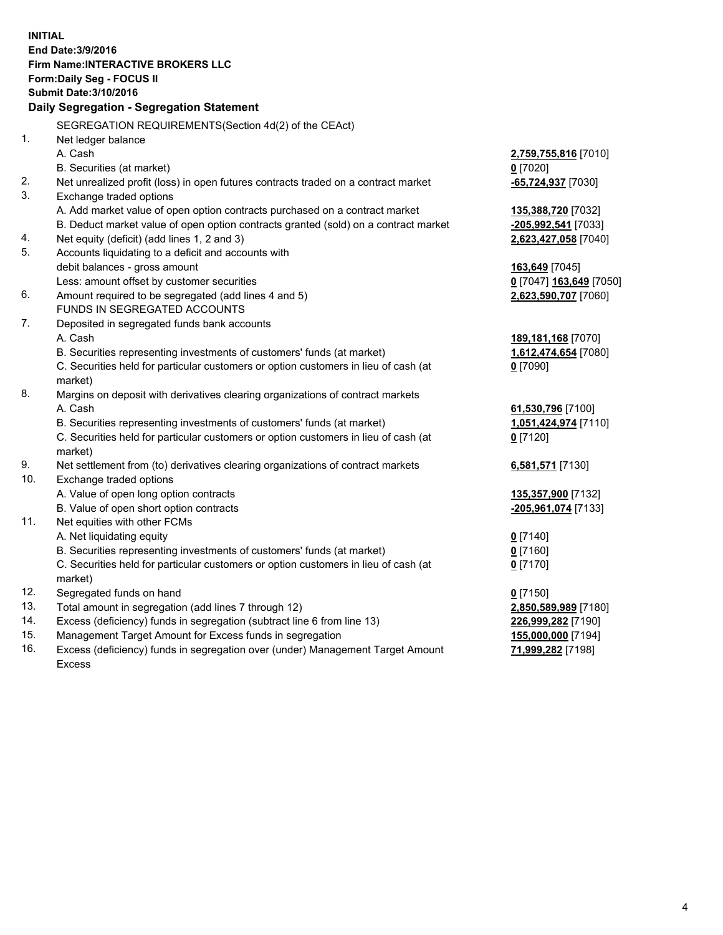**INITIAL End Date:3/9/2016 Firm Name:INTERACTIVE BROKERS LLC Form:Daily Seg - FOCUS II Submit Date:3/10/2016 Daily Segregation - Segregation Statement** SEGREGATION REQUIREMENTS(Section 4d(2) of the CEAct) 1. Net ledger balance A. Cash **2,759,755,816** [7010] B. Securities (at market) **0** [7020] 2. Net unrealized profit (loss) in open futures contracts traded on a contract market **-65,724,937** [7030] 3. Exchange traded options A. Add market value of open option contracts purchased on a contract market **135,388,720** [7032] B. Deduct market value of open option contracts granted (sold) on a contract market **-205,992,541** [7033] 4. Net equity (deficit) (add lines 1, 2 and 3) **2,623,427,058** [7040] 5. Accounts liquidating to a deficit and accounts with debit balances - gross amount **163,649** [7045] Less: amount offset by customer securities **0** [7047] **163,649** [7050] 6. Amount required to be segregated (add lines 4 and 5) **2,623,590,707** [7060] FUNDS IN SEGREGATED ACCOUNTS 7. Deposited in segregated funds bank accounts A. Cash **189,181,168** [7070] B. Securities representing investments of customers' funds (at market) **1,612,474,654** [7080] C. Securities held for particular customers or option customers in lieu of cash (at market) **0** [7090] 8. Margins on deposit with derivatives clearing organizations of contract markets A. Cash **61,530,796** [7100] B. Securities representing investments of customers' funds (at market) **1,051,424,974** [7110] C. Securities held for particular customers or option customers in lieu of cash (at market) **0** [7120] 9. Net settlement from (to) derivatives clearing organizations of contract markets **6,581,571** [7130] 10. Exchange traded options A. Value of open long option contracts **135,357,900** [7132] B. Value of open short option contracts **-205,961,074** [7133] 11. Net equities with other FCMs A. Net liquidating equity **0** [7140] B. Securities representing investments of customers' funds (at market) **0** [7160] C. Securities held for particular customers or option customers in lieu of cash (at market) **0** [7170] 12. Segregated funds on hand **0** [7150] 13. Total amount in segregation (add lines 7 through 12) **2,850,589,989** [7180] 14. Excess (deficiency) funds in segregation (subtract line 6 from line 13) **226,999,282** [7190] 15. Management Target Amount for Excess funds in segregation **155,000,000** [7194]

16. Excess (deficiency) funds in segregation over (under) Management Target Amount Excess

## **71,999,282** [7198]